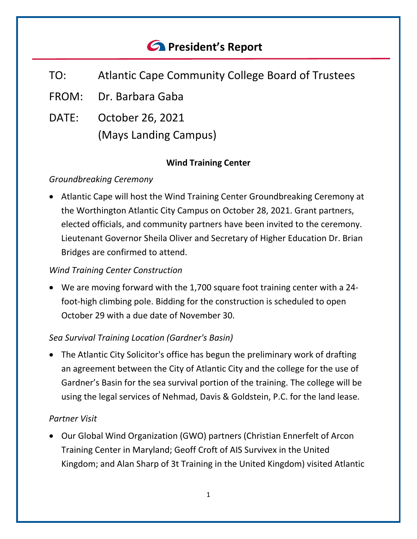# *<u>C* President's Report</u>

- TO: Atlantic Cape Community College Board of Trustees
- FROM: Dr. Barbara Gaba
- DATE: October 26, 2021 (Mays Landing Campus)

## **Wind Training Center**

## *Groundbreaking Ceremony*

• Atlantic Cape will host the Wind Training Center Groundbreaking Ceremony at the Worthington Atlantic City Campus on October 28, 2021. Grant partners, elected officials, and community partners have been invited to the ceremony. Lieutenant Governor Sheila Oliver and Secretary of Higher Education Dr. Brian Bridges are confirmed to attend.

# *Wind Training Center Construction*

• We are moving forward with the 1,700 square foot training center with a 24 foot-high climbing pole. Bidding for the construction is scheduled to open October 29 with a due date of November 30.

# *Sea Survival Training Location (Gardner's Basin)*

• The Atlantic City Solicitor's office has begun the preliminary work of drafting an agreement between the City of Atlantic City and the college for the use of Gardner's Basin for the sea survival portion of the training. The college will be using the legal services of Nehmad, Davis & Goldstein, P.C. for the land lease.

#### *Partner Visit*

• Our Global Wind Organization (GWO) partners (Christian Ennerfelt of Arcon Training Center in Maryland; Geoff Croft of AIS Survivex in the United Kingdom; and Alan Sharp of 3t Training in the United Kingdom) visited Atlantic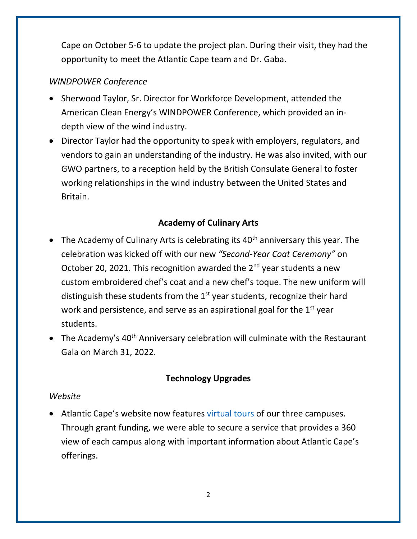Cape on October 5-6 to update the project plan. During their visit, they had the opportunity to meet the Atlantic Cape team and Dr. Gaba.

# *WINDPOWER Conference*

- Sherwood Taylor, Sr. Director for Workforce Development, attended the American Clean Energy's WINDPOWER Conference, which provided an indepth view of the wind industry.
- Director Taylor had the opportunity to speak with employers, regulators, and vendors to gain an understanding of the industry. He was also invited, with our GWO partners, to a reception held by the British Consulate General to foster working relationships in the wind industry between the United States and Britain.

# **Academy of Culinary Arts**

- The Academy of Culinary Arts is celebrating its  $40<sup>th</sup>$  anniversary this year. The celebration was kicked off with our new *"Second-Year Coat Ceremony"* on October 20, 2021. This recognition awarded the  $2^{nd}$  year students a new custom embroidered chef's coat and a new chef's toque. The new uniform will distinguish these students from the  $1<sup>st</sup>$  year students, recognize their hard work and persistence, and serve as an aspirational goal for the  $1<sup>st</sup>$  year students.
- The Academy's  $40^{th}$  Anniversary celebration will culminate with the Restaurant Gala on March 31, 2022.

# **Technology Upgrades**

#### *Website*

• Atlantic Cape's website now features [virtual tours](http://www.atlantic.edu/virtualtour) of our three campuses. Through grant funding, we were able to secure a service that provides a 360 view of each campus along with important information about Atlantic Cape's offerings.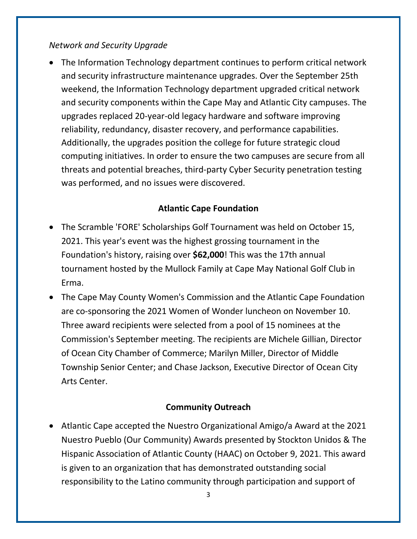#### *Network and Security Upgrade*

• The Information Technology department continues to perform critical network and security infrastructure maintenance upgrades. Over the September 25th weekend, the Information Technology department upgraded critical network and security components within the Cape May and Atlantic City campuses. The upgrades replaced 20-year-old legacy hardware and software improving reliability, redundancy, disaster recovery, and performance capabilities. Additionally, the upgrades position the college for future strategic cloud computing initiatives. In order to ensure the two campuses are secure from all threats and potential breaches, third-party Cyber Security penetration testing was performed, and no issues were discovered.

# **Atlantic Cape Foundation**

- The Scramble 'FORE' Scholarships Golf Tournament was held on October 15, 2021. This year's event was the highest grossing tournament in the Foundation's history, raising over **\$62,000**! This was the 17th annual tournament hosted by the Mullock Family at Cape May National Golf Club in Erma.
- The Cape May County Women's Commission and the Atlantic Cape Foundation are co-sponsoring the 2021 Women of Wonder luncheon on November 10. Three award recipients were selected from a pool of 15 nominees at the Commission's September meeting. The recipients are Michele Gillian, Director of Ocean City Chamber of Commerce; Marilyn Miller, Director of Middle Township Senior Center; and Chase Jackson, Executive Director of Ocean City Arts Center.

# **Community Outreach**

• Atlantic Cape accepted the Nuestro Organizational Amigo/a Award at the 2021 Nuestro Pueblo (Our Community) Awards presented by Stockton Unidos & The Hispanic Association of Atlantic County (HAAC) on October 9, 2021. This award is given to an organization that has demonstrated outstanding social responsibility to the Latino community through participation and support of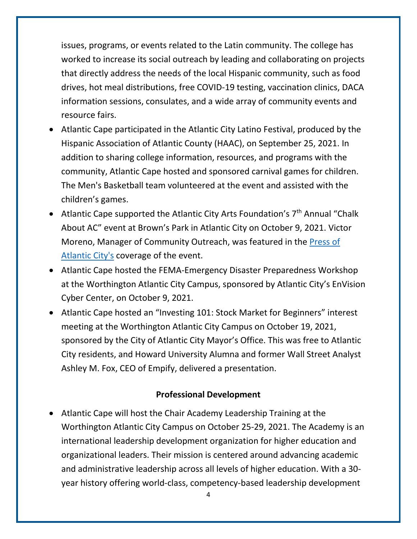issues, programs, or events related to the Latin community. The college has worked to increase its social outreach by leading and collaborating on projects that directly address the needs of the local Hispanic community, such as food drives, hot meal distributions, free COVID-19 testing, vaccination clinics, DACA information sessions, consulates, and a wide array of community events and resource fairs.

- Atlantic Cape participated in the Atlantic City Latino Festival, produced by the Hispanic Association of Atlantic County (HAAC), on September 25, 2021. In addition to sharing college information, resources, and programs with the community, Atlantic Cape hosted and sponsored carnival games for children. The Men's Basketball team volunteered at the event and assisted with the children's games.
- Atlantic Cape supported the Atlantic City Arts Foundation's  $7<sup>th</sup>$  Annual "Chalk About AC" event at Brown's Park in Atlantic City on October 9, 2021. Victor Moreno, Manager of Community Outreach, was featured in the [Press of](https://pressofatlanticcity.com/news/local/7th-annual-chalk-about-ac-event-brings-colorful-sidewalk-art-to-atlantic-city/article_1eb06752-291a-11ec-a7c2-638998b1fcc7.html)  [Atlantic City's](https://pressofatlanticcity.com/news/local/7th-annual-chalk-about-ac-event-brings-colorful-sidewalk-art-to-atlantic-city/article_1eb06752-291a-11ec-a7c2-638998b1fcc7.html) coverage of the event.
- Atlantic Cape hosted the FEMA-Emergency Disaster Preparedness Workshop at the Worthington Atlantic City Campus, sponsored by Atlantic City's EnVision Cyber Center, on October 9, 2021.
- Atlantic Cape hosted an "Investing 101: Stock Market for Beginners" interest meeting at the Worthington Atlantic City Campus on October 19, 2021, sponsored by the City of Atlantic City Mayor's Office. This was free to Atlantic City residents, and Howard University Alumna and former Wall Street Analyst Ashley M. Fox, CEO of Empify, delivered a presentation.

#### **Professional Development**

• Atlantic Cape will host the Chair Academy Leadership Training at the Worthington Atlantic City Campus on October 25-29, 2021. The Academy is an international leadership development organization for higher education and organizational leaders. Their mission is centered around advancing academic and administrative leadership across all levels of higher education. With a 30 year history offering world-class, competency-based leadership development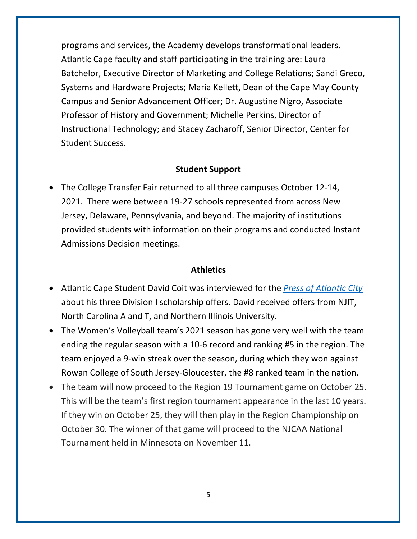programs and services, the Academy develops transformational leaders. Atlantic Cape faculty and staff participating in the training are: Laura Batchelor, Executive Director of Marketing and College Relations; Sandi Greco, Systems and Hardware Projects; Maria Kellett, Dean of the Cape May County Campus and Senior Advancement Officer; Dr. Augustine Nigro, Associate Professor of History and Government; Michelle Perkins, Director of Instructional Technology; and Stacey Zacharoff, Senior Director, Center for Student Success.

#### **Student Support**

• The College Transfer Fair returned to all three campuses October 12-14, 2021. There were between 19-27 schools represented from across New Jersey, Delaware, Pennsylvania, and beyond. The majority of institutions provided students with information on their programs and conducted Instant Admissions Decision meetings.

#### **Athletics**

- Atlantic Cape Student David Coit was interviewed for the *[Press of Atlantic City](https://pressofatlanticcity.com/sports/local/david-coit-finally-earning-his-shot-and-division-i-offers-at-atlantic-cape-community-college/article_ad85da84-23c0-11ec-b3e3-27ea78edf252.html)* about his three Division I scholarship offers. David received offers from NJIT, North Carolina A and T, and Northern Illinois University.
- The Women's Volleyball team's 2021 season has gone very well with the team ending the regular season with a 10-6 record and ranking #5 in the region. The team enjoyed a 9-win streak over the season, during which they won against Rowan College of South Jersey-Gloucester, the #8 ranked team in the nation.
- The team will now proceed to the Region 19 Tournament game on October 25. This will be the team's first region tournament appearance in the last 10 years. If they win on October 25, they will then play in the Region Championship on October 30. The winner of that game will proceed to the NJCAA National Tournament held in Minnesota on November 11.